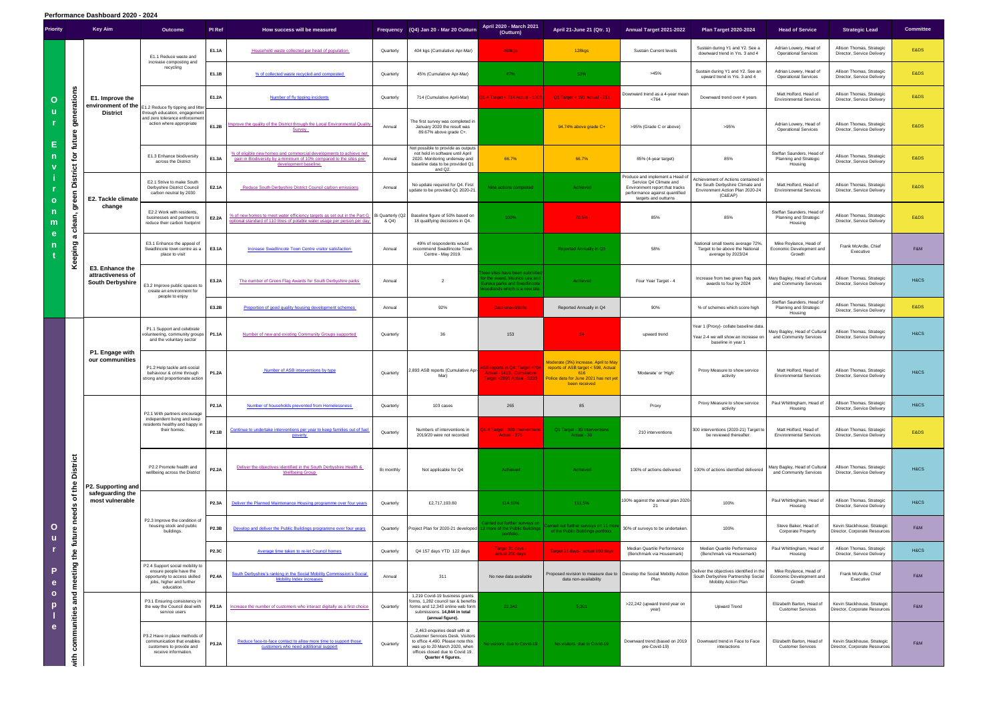| Priority                                    | Key Aim                          |                                                                 | Outcome                                                                                                                              | PI Ref       | How success will be measured                                                                                                                                      |                           | Frequency (Q4) Jan 20 - Mar 20 Outturn                                                                                                                                                                  | April 2020 - March 2021<br>(Outturn)                                                                                                | April 21-June 21 (Qtr. 1)                                                                                                                                               | Annual Target 2021-2022                                                                                                                              | <b>Plan Target 2020-2024</b>                                                                                          | <b>Head of Service</b>                                                | <b>Strategic Lead</b>                                        | <b>Committee</b> |
|---------------------------------------------|----------------------------------|-----------------------------------------------------------------|--------------------------------------------------------------------------------------------------------------------------------------|--------------|-------------------------------------------------------------------------------------------------------------------------------------------------------------------|---------------------------|---------------------------------------------------------------------------------------------------------------------------------------------------------------------------------------------------------|-------------------------------------------------------------------------------------------------------------------------------------|-------------------------------------------------------------------------------------------------------------------------------------------------------------------------|------------------------------------------------------------------------------------------------------------------------------------------------------|-----------------------------------------------------------------------------------------------------------------------|-----------------------------------------------------------------------|--------------------------------------------------------------|------------------|
| $\mathbf O$<br>u                            |                                  | E1. Improve the<br>environment of the<br><b>District</b>        | E1.1 Reduce waste and                                                                                                                | E1.1A        | Household waste collected per head of population                                                                                                                  | Quarterly                 | 404 kgs (Cumulative Apr-Mar)                                                                                                                                                                            | 460kgs                                                                                                                              | 128kgs                                                                                                                                                                  | Sustain Current levels                                                                                                                               | Sustain during Y1 and Y2. See a<br>downward trend in Yrs. 3 and 4                                                     | Adrian Lowery, Head of<br><b>Operational Services</b>                 | Allison Thomas, Strategic<br>Director, Service Delivery      | E&DS             |
|                                             |                                  |                                                                 | increase composting and<br>recycling                                                                                                 | E1.1B        | % of collected waste recycled and composted                                                                                                                       | Quarterly                 | 45% (Cumulative Apr-Mar)                                                                                                                                                                                | 47%                                                                                                                                 | 53%                                                                                                                                                                     | >45%                                                                                                                                                 | Sustain during Y1 and Y2. See an<br>upward trend in Yrs. 3 and 4                                                      | Adrian Lowery, Head of<br><b>Operational Services</b>                 | Allison Thomas, Strategic<br>Director, Service Delivery      | E&DS             |
|                                             | generations                      |                                                                 | E1.2 Reduce fly tipping and litter                                                                                                   | E1.2A        | Number of fly tipping incidents                                                                                                                                   | Quarterly                 | 714 (Cumulative April-Mar)                                                                                                                                                                              | 1-4 Target < 714 Actual - 1003                                                                                                      | Q1 Target < 191 Actual - 211                                                                                                                                            | Downward trend as a 4-year mean<br>< 764                                                                                                             | Downward trend over 4 years                                                                                           | Matt Holford, Head of<br><b>Environmental Services</b>                | Allison Thomas, Strategic<br>Director, Service Delivery      | E&DS             |
|                                             | future                           |                                                                 | hrough education, engagement<br>and zero tolerance enforcement<br>action where appropriate                                           | E1.2B        | mprove the quality of the District through the Local Environmental Quality<br>Survey                                                                              | Annual                    | The first survey was completed in<br>January 2020 the result was<br>89.67% above grade C+.                                                                                                              |                                                                                                                                     | 94.74% above grade C+                                                                                                                                                   | >95% (Grade C or above)                                                                                                                              | >95%                                                                                                                  | Adrian Lowery, Head of<br><b>Operational Services</b>                 | Allison Thomas, Strategic<br>Director, Service Delivery      | E&DS             |
| Ε<br>n                                      | $\mathbf{\tilde{p}}$             |                                                                 | E1.3 Enhance biodiversity<br>across the District                                                                                     | E1.3A        | % of eligible new homes and commercial developments to achieve net<br>gain in Biodiversity by a minimum of 10% compared to the sites pre<br>development baseline. | Annual                    | Not possible to provide as outputs<br>not held in software until April<br>2020. Monitoring underway and<br>baseline data to be provided Q1<br>and Q2.                                                   | 66.7%                                                                                                                               | 66.7%                                                                                                                                                                   | 85% (4-year target)                                                                                                                                  | 85%                                                                                                                   | Steffan Saunders, Head of<br><b>Planning and Strategic</b><br>Housing | Allison Thomas, Strategic<br>Director, Service Delivery      | E&DS             |
| $\mathbf{o}$<br>$\mathsf{n}$<br>m<br>e<br>n | <b>District</b><br>green         | E2. Tackle climate<br>change                                    | E2.1 Strive to make South<br>Derbyshire District Council<br>carbon neutral by 2030                                                   | E2.1A        | <b>Reduce South Derbyshire District Council carbon emissions</b>                                                                                                  | Annual                    | No update required for Q4. First<br>update to be provided Q1 2020-21.                                                                                                                                   | Nine actions completed                                                                                                              | Achieved                                                                                                                                                                | Produce and implement a Head o<br>Service Q4 Climate and<br>Environment report that tracks<br>performance against quantified<br>targets and outturns | Achievement of Actions contained in<br>the South Derbyshire Climate and<br>Environment Action Plan 2020-24<br>(C&EAP) | Matt Holford, Head of<br><b>Environmental Services</b>                | Allison Thomas, Strategic<br>Director, Service Delivery      | E&DS             |
|                                             | clean,                           |                                                                 | E2.2 Work with residents,<br>businesses and partners to<br>reduce their carbon footprint                                             | E2.2A        | % of new homes to meet water efficiency targets as set out in the Part G<br>optional standard of 110 litres of potable water usage per person per day             | Bi Quarterly (Q2<br>& Q4) | Baseline figure of 50% based on<br>18 qualifying decisions in Q4.                                                                                                                                       | 100%                                                                                                                                | 70.5%                                                                                                                                                                   | 85%                                                                                                                                                  | 85%                                                                                                                   | Steffan Saunders, Head of<br><b>Planning and Strategic</b><br>Housing | Allison Thomas, Strategic<br>Director, Service Delivery      | E&DS             |
|                                             | $\boldsymbol{\varpi}$<br>Keeping | E3. Enhance the<br>attractiveness of<br><b>South Derbyshire</b> | E3.1 Enhance the appeal of<br>Swadlincote town centre as a<br>place to visit                                                         | E3.1A        | <b>Increase Swadlincote Town Centre visitor satisfaction</b>                                                                                                      | Annual                    | 49% of respondents would<br>recommend Swadlincote Town<br>Centre - May 2019.                                                                                                                            |                                                                                                                                     | <b>Reported Annually in Q3</b>                                                                                                                                          | 58%                                                                                                                                                  | National small towns average 72%.<br>Target to be above the National<br>average by 2023/24                            | Mike Roylance, Head of<br>Economic Development and<br>Growth          | Frank McArdle, Chief<br>Executive                            | F&M              |
|                                             |                                  |                                                                 | 3.2 Improve public spaces to<br>create an environment for                                                                            | E3.2A        | The number of Green Flag Awards for South Derbyshire parks                                                                                                        | Annual                    | $\overline{2}$                                                                                                                                                                                          | ee sites have been submitted<br>r the award, Maurice Lea and<br><b>ureka parks and Swadlincote</b><br>oodlands which is a new site. | Achieved                                                                                                                                                                | Four Year Target - 4                                                                                                                                 | Increase from two green flag park<br>awards to four by 2024                                                           | Mary Bagley, Head of Cultural<br>and Community Services               | Allison Thomas, Strategic<br>Director, Service Delivery      | H&CS             |
|                                             |                                  |                                                                 | people to enjoy                                                                                                                      | E3.2B        | Proportion of good quality housing development schemes                                                                                                            | Annual                    | 92%                                                                                                                                                                                                     | Data unavailable                                                                                                                    | Reported Annually in Q4                                                                                                                                                 | 90%                                                                                                                                                  | % of schemes which score high                                                                                         | Steffan Saunders, Head of<br>Planning and Strategic<br>Housing        | Allison Thomas, Strategic<br>Director, Service Delivery      | E&DS             |
|                                             |                                  | P1. Engage with<br>our communities                              | P1.1 Support and celebrate<br>volunteering, community groups   P1.1A<br>and the voluntary sector                                     |              | Number of new and existing Community Groups supported                                                                                                             | Quarterly                 | 36                                                                                                                                                                                                      | 153                                                                                                                                 | 24                                                                                                                                                                      | upward trend                                                                                                                                         | Year 1 (Proxy)- collate baseline data.<br>Year 2-4 we will show an increase on<br>baseline in year 1                  | Mary Bagley, Head of Cultural<br>and Community Services               | Allison Thomas, Strategic<br>Director, Service Delivery      | H&CS             |
|                                             |                                  |                                                                 | P1.2 Help tackle anti-social<br>behaviour & crime through<br>strong and proportionate action                                         | P1.2A        | Number of ASB interventions by type                                                                                                                               | Quarterly                 | 2,893 ASB reports (Cumulative Apr-<br>Mar)                                                                                                                                                              | 6B reports in Q4: Target <704<br>Actual - 1413. Cumulative                                                                          | Moderate (3%) increase. April to May<br>reports of ASB target < 598, Actual<br>616<br>Farget <2893 Actual - 5233 Police data for June 2021 has not yet<br>been received | 'Moderate' or 'High'                                                                                                                                 | Proxy Measure to show service<br>activity                                                                             | Matt Holford, Head of<br><b>Environmental Services</b>                | Allison Thomas, Strategic<br>Director, Service Delivery      | H&CS             |
|                                             |                                  | P2. Supporting and<br>safeguarding the<br>most vulnerable       | P2.1 With partners encourage<br>independent living and keep<br>residents healthy and happy in<br>their homes.                        | P2.1A        | Number of households prevented from Homelessness                                                                                                                  | Quarterly                 | 103 cases                                                                                                                                                                                               | 265                                                                                                                                 | 85                                                                                                                                                                      | Proxy                                                                                                                                                | Proxy Measure to show service<br>activity                                                                             | Paul Whittingham, Head of<br>Housing                                  | Allison Thomas, Strategic<br>Director, Service Delivery      | H&CS             |
|                                             |                                  |                                                                 |                                                                                                                                      | P2.1B        | Continue to undertake interventions per year to keep families out of fuel<br>poverty                                                                              | Quarterly                 | Numbers of interventions in<br>2019/20 were not recorded                                                                                                                                                | 1-4 Target - 300 interventions<br>Actual - 276                                                                                      | Q1 Target - 30 interventions<br>Actual - 30                                                                                                                             | 210 interventions                                                                                                                                    | 300 interventions (2020-21) Target to<br>be reviewed thereafter.                                                      | Matt Holford, Head of<br><b>Environmental Services</b>                | Allison Thomas, Strategic<br>Director, Service Delivery      | E&DS             |
|                                             | <b>District</b><br>the           |                                                                 | P2.2 Promote health and<br>wellbeing across the District                                                                             | <b>P2.2A</b> | Deliver the objectives identified in the South Derbyshire Health &<br><b>Wellbeing Group</b>                                                                      | Bi monthly                | Not applicable for Q4                                                                                                                                                                                   | Achieved                                                                                                                            | Achieved                                                                                                                                                                | 100% of actions delivered                                                                                                                            | 100% of actions identified delivered                                                                                  | Mary Bagley, Head of Cultural<br>and Community Services               | Allison Thomas, Strategic<br>Director, Service Delivery      | H&CS             |
| $\mathbf O$<br>u<br>P<br>e<br>$\circ$<br>p  | ৳<br>needs                       |                                                                 |                                                                                                                                      | <b>P2.3A</b> | Deliver the Planned Maintenance Housing programme over four years                                                                                                 | Quarterly                 | £2,717,193.80                                                                                                                                                                                           | 114.10%                                                                                                                             | 111.5%                                                                                                                                                                  | 00% against the annual plan 2020<br>21                                                                                                               | 100%                                                                                                                  | Paul Whittingham, Head of<br>Housing                                  | Allison Thomas, Strategic<br>Director, Service Delivery      | H&CS             |
|                                             |                                  |                                                                 | P2.3 Improve the condition of<br>housing stock and public<br>buildings.                                                              | P2.3B        | Develop and deliver the Public Buildings programme over four years                                                                                                | Quarterly                 | Project Plan for 2020-21 developed 1                                                                                                                                                                    | arried out further surveys on<br>12 more of the Public Buildings<br>portfolio.                                                      | Carried out further surveys on 11 mo<br>of the Public Buildings portfolio.                                                                                              | 30% of surveys to be undertaken                                                                                                                      | 100%                                                                                                                  | Steve Baker, Head of<br>Corporate Property                            | Kevin Stackhouse, Strategic<br>Director, Corporate Resources | F&M              |
|                                             | the future                       |                                                                 |                                                                                                                                      | P2.3C        | Average time taken to re-let Council homes                                                                                                                        | Quarterly                 | Q4 157 days YTD 122 days                                                                                                                                                                                | Target 21 days -<br>actual 200 days                                                                                                 | Target 21 days- actual 190 days                                                                                                                                         | Median Quartile Performance<br>(Benchmark via Housemark)                                                                                             | Median Quartile Performance<br>(Benchmark via Housemark)                                                              | Paul Whittingham, Head of<br>Housing                                  | Allison Thomas, Strategic<br>Director, Service Delivery      | H&CS             |
|                                             | meeting                          |                                                                 | P2.4 Support social mobility to<br>ensure people have the<br>opportunity to access skilled<br>jobs, higher and further<br>education. | <b>P2.4A</b> | South Derbyshire's ranking in the Social Mobility Commission's Social<br><b>Mobility Index increases</b>                                                          | Annual                    | 311                                                                                                                                                                                                     | No new data available                                                                                                               | Proposed revision to measure due to   Develop the Social Mobility Action<br>data non-availability                                                                       | Plan                                                                                                                                                 | Deliver the objectives identified in the<br>South Derbyshire Partnership Social<br>Mobility Action Plan               | Mike Roylance, Head of<br>Economic Development and<br>Growth          | Frank McArdle, Chief<br>Executive                            | F&M              |
|                                             | and                              |                                                                 | P3.1 Ensuring consistency in<br>the way the Council deal with<br>service users                                                       | <b>P3.1A</b> | Increase the number of customers who interact digitally as a first choice                                                                                         | Quarterly                 | 1,219 Covid-19 business grants<br>forms, 1,282 council tax & benefits<br>forms and 12,343 online web form<br>submissions. 14,844 in total<br>(annual figure).                                           | 22,242                                                                                                                              | 5,301                                                                                                                                                                   | >22,242 (upward trend year on<br>year)                                                                                                               | Upward Trend                                                                                                          | Elizabeth Barton, Head of<br><b>Customer Services</b>                 | Kevin Stackhouse, Strategic<br>Director, Corporate Resources | F&M              |
| e                                           | communities<br>$\mathbf{v}$ ith  |                                                                 | P3.2 Have in place methods of<br>communication that enables<br>customers to provide and<br>receive information.                      | P3.2A        | Reduce face-to-face contact to allow more time to support those<br>customers who need additional support                                                          | Quarterly                 | 2,463 enquiries dealt with at<br><b>Customer Services Desk. Visitors</b><br>to office 4,490. Please note this<br>was up to 20 March 2020, when<br>offices closed due to Covid 19.<br>Quarter 4 figures. | lo visitors due to Covid-19                                                                                                         | No visitors due to Covid-19                                                                                                                                             | Downward trend (based on 2019<br>pre-Covid-19)                                                                                                       | Downward trend in Face to Face<br>interactions                                                                        | Elizabeth Barton, Head of<br><b>Customer Services</b>                 | Kevin Stackhouse, Strategic<br>Director, Corporate Resources | F&M              |
|                                             |                                  |                                                                 |                                                                                                                                      |              |                                                                                                                                                                   |                           |                                                                                                                                                                                                         |                                                                                                                                     |                                                                                                                                                                         |                                                                                                                                                      |                                                                                                                       |                                                                       |                                                              |                  |